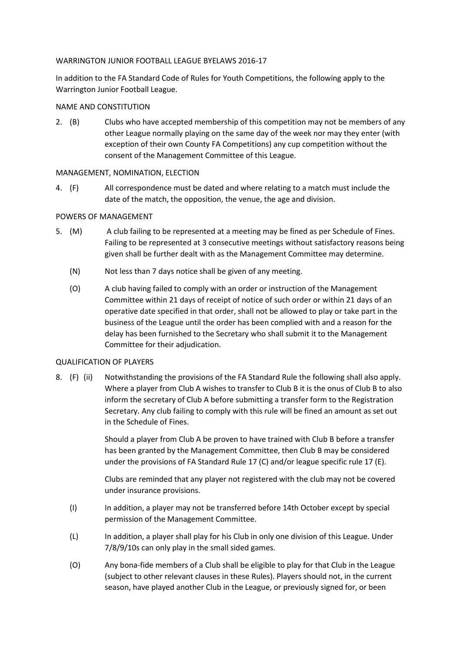### WARRINGTON JUNIOR FOOTBALL LEAGUE BYELAWS 2016-17

In addition to the FA Standard Code of Rules for Youth Competitions, the following apply to the Warrington Junior Football League.

# NAME AND CONSTITUTION

2. (B) Clubs who have accepted membership of this competition may not be members of any other League normally playing on the same day of the week nor may they enter (with exception of their own County FA Competitions) any cup competition without the consent of the Management Committee of this League.

## MANAGEMENT, NOMINATION, ELECTION

4. (F) All correspondence must be dated and where relating to a match must include the date of the match, the opposition, the venue, the age and division.

## POWERS OF MANAGEMENT

- 5. (M) A club failing to be represented at a meeting may be fined as per Schedule of Fines. Failing to be represented at 3 consecutive meetings without satisfactory reasons being given shall be further dealt with as the Management Committee may determine.
	- (N) Not less than 7 days notice shall be given of any meeting.
	- (O) A club having failed to comply with an order or instruction of the Management Committee within 21 days of receipt of notice of such order or within 21 days of an operative date specified in that order, shall not be allowed to play or take part in the business of the League until the order has been complied with and a reason for the delay has been furnished to the Secretary who shall submit it to the Management Committee for their adjudication.

### QUALIFICATION OF PLAYERS

8. (F) (ii) Notwithstanding the provisions of the FA Standard Rule the following shall also apply. Where a player from Club A wishes to transfer to Club B it is the onus of Club B to also inform the secretary of Club A before submitting a transfer form to the Registration Secretary. Any club failing to comply with this rule will be fined an amount as set out in the Schedule of Fines.

> Should a player from Club A be proven to have trained with Club B before a transfer has been granted by the Management Committee, then Club B may be considered under the provisions of FA Standard Rule 17 (C) and/or league specific rule 17 (E).

> Clubs are reminded that any player not registered with the club may not be covered under insurance provisions.

- (I) In addition, a player may not be transferred before 14th October except by special permission of the Management Committee.
- (L) In addition, a player shall play for his Club in only one division of this League. Under 7/8/9/10s can only play in the small sided games.
- (O) Any bona-fide members of a Club shall be eligible to play for that Club in the League (subject to other relevant clauses in these Rules). Players should not, in the current season, have played another Club in the League, or previously signed for, or been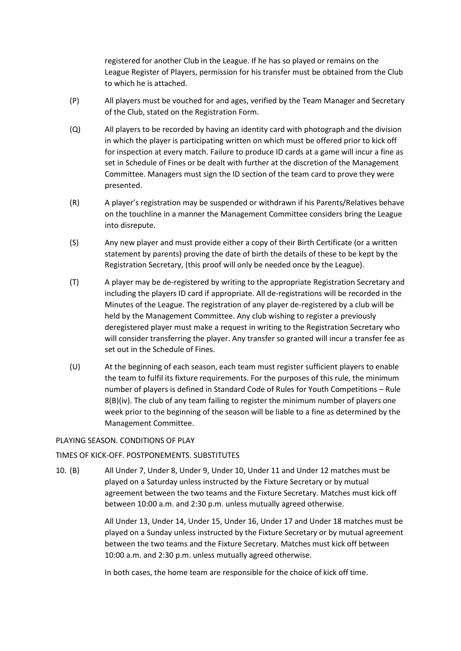registered for another Club in the League. If he has so played or remains on the League Register of Players, permission for his transfer must be obtained from the Club to which he is attached.

- (P) All players must be vouched for and ages, verified by the Team Manager and Secretary of the Club, stated on the Registration Form.
- (Q) All players to be recorded by having an identity card with photograph and the division in which the player is participating written on which must be offered prior to kick off for inspection at every match. Failure to produce ID cards at a game will incur a fine as set in Schedule of Fines or be dealt with further at the discretion of the Management Committee. Managers must sign the ID section of the team card to prove they were presented.
- (R) A player's registration may be suspended or withdrawn if his Parents/Relatives behave on the touchline in a manner the Management Committee considers bring the League into disrepute.
- (S) Any new player and must provide either a copy of their Birth Certificate (or a written statement by parents) proving the date of birth the details of these to be kept by the Registration Secretary, (this proof will only be needed once by the League).
- (T) A player may be de-registered by writing to the appropriate Registration Secretary and including the players ID card if appropriate. All de-registrations will be recorded in the Minutes of the League. The registration of any player de-registered by a club will be held by the Management Committee. Any club wishing to register a previously deregistered player must make a request in writing to the Registration Secretary who will consider transferring the player. Any transfer so granted will incur a transfer fee as set out in the Schedule of Fines.
- (U) At the beginning of each season, each team must register sufficient players to enable the team to fulfil its fixture requirements. For the purposes of this rule, the minimum number of players is defined in Standard Code of Rules for Youth Competitions – Rule 8(B)(iv). The club of any team failing to register the minimum number of players one week prior to the beginning of the season will be liable to a fine as determined by the Management Committee.

### PLAYING SEASON. CONDITIONS OF PLAY

### TIMES OF KICK-OFF. POSTPONEMENTS. SUBSTITUTES

10. (B) All Under 7, Under 8, Under 9, Under 10, Under 11 and Under 12 matches must be played on a Saturday unless instructed by the Fixture Secretary or by mutual agreement between the two teams and the Fixture Secretary. Matches must kick off between 10:00 a.m. and 2:30 p.m. unless mutually agreed otherwise.

> All Under 13, Under 14, Under 15, Under 16, Under 17 and Under 18 matches must be played on a Sunday unless instructed by the Fixture Secretary or by mutual agreement between the two teams and the Fixture Secretary. Matches must kick off between 10:00 a.m. and 2:30 p.m. unless mutually agreed otherwise.

In both cases, the home team are responsible for the choice of kick off time.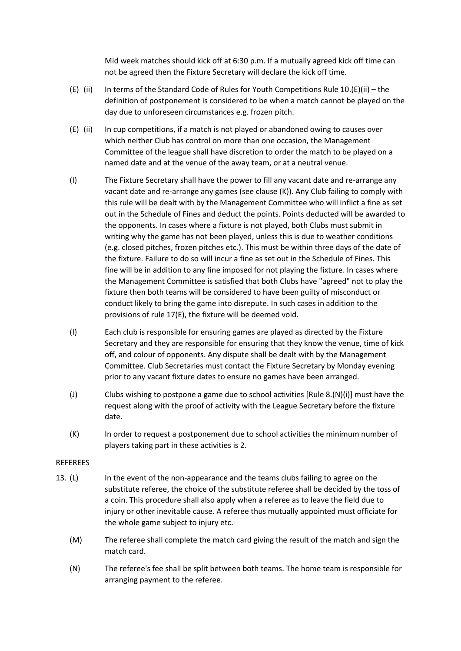Mid week matches should kick off at 6:30 p.m. If a mutually agreed kick off time can not be agreed then the Fixture Secretary will declare the kick off time.

- (E) (ii) In terms of the Standard Code of Rules for Youth Competitions Rule 10.(E)(ii) the definition of postponement is considered to be when a match cannot be played on the day due to unforeseen circumstances e.g. frozen pitch.
- (E) (ii) In cup competitions, if a match is not played or abandoned owing to causes over which neither Club has control on more than one occasion, the Management Committee of the league shall have discretion to order the match to be played on a named date and at the venue of the away team, or at a neutral venue.
- (I) The Fixture Secretary shall have the power to fill any vacant date and re-arrange any vacant date and re-arrange any games (see clause (K)). Any Club failing to comply with this rule will be dealt with by the Management Committee who will inflict a fine as set out in the Schedule of Fines and deduct the points. Points deducted will be awarded to the opponents. In cases where a fixture is not played, both Clubs must submit in writing why the game has not been played, unless this is due to weather conditions (e.g. closed pitches, frozen pitches etc.). This must be within three days of the date of the fixture. Failure to do so will incur a fine as set out in the Schedule of Fines. This fine will be in addition to any fine imposed for not playing the fixture. In cases where the Management Committee is satisfied that both Clubs have "agreed" not to play the fixture then both teams will be considered to have been guilty of misconduct or conduct likely to bring the game into disrepute. In such cases in addition to the provisions of rule 17(E), the fixture will be deemed void.
- (I) Each club is responsible for ensuring games are played as directed by the Fixture Secretary and they are responsible for ensuring that they know the venue, time of kick off, and colour of opponents. Any dispute shall be dealt with by the Management Committee. Club Secretaries must contact the Fixture Secretary by Monday evening prior to any vacant fixture dates to ensure no games have been arranged.
- (J) Clubs wishing to postpone a game due to school activities [Rule 8.(N)(i)] must have the request along with the proof of activity with the League Secretary before the fixture date.
- (K) In order to request a postponement due to school activities the minimum number of players taking part in these activities is 2.

### REFEREES

- 13. (L) In the event of the non-appearance and the teams clubs failing to agree on the substitute referee, the choice of the substitute referee shall be decided by the toss of a coin. This procedure shall also apply when a referee as to leave the field due to injury or other inevitable cause. A referee thus mutually appointed must officiate for the whole game subject to injury etc.
	- (M) The referee shall complete the match card giving the result of the match and sign the match card.
	- (N) The referee's fee shall be split between both teams. The home team is responsible for arranging payment to the referee.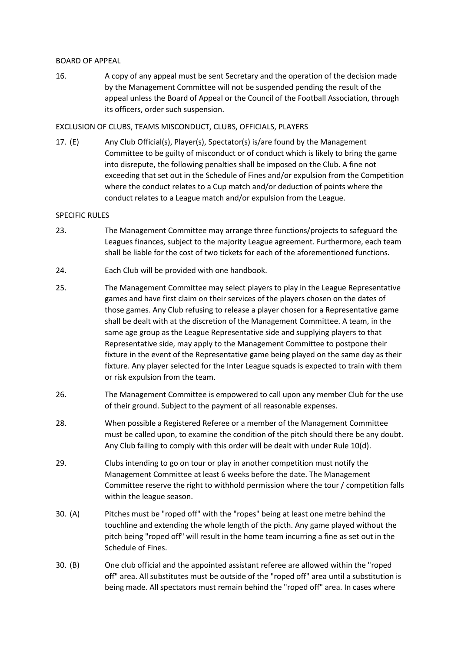### BOARD OF APPEAL

16. A copy of any appeal must be sent Secretary and the operation of the decision made by the Management Committee will not be suspended pending the result of the appeal unless the Board of Appeal or the Council of the Football Association, through its officers, order such suspension.

## EXCLUSION OF CLUBS, TEAMS MISCONDUCT, CLUBS, OFFICIALS, PLAYERS

17. (E) Any Club Official(s), Player(s), Spectator(s) is/are found by the Management Committee to be guilty of misconduct or of conduct which is likely to bring the game into disrepute, the following penalties shall be imposed on the Club. A fine not exceeding that set out in the Schedule of Fines and/or expulsion from the Competition where the conduct relates to a Cup match and/or deduction of points where the conduct relates to a League match and/or expulsion from the League.

### SPECIFIC RULES

- 23. The Management Committee may arrange three functions/projects to safeguard the Leagues finances, subject to the majority League agreement. Furthermore, each team shall be liable for the cost of two tickets for each of the aforementioned functions.
- 24. Each Club will be provided with one handbook.
- 25. The Management Committee may select players to play in the League Representative games and have first claim on their services of the players chosen on the dates of those games. Any Club refusing to release a player chosen for a Representative game shall be dealt with at the discretion of the Management Committee. A team, in the same age group as the League Representative side and supplying players to that Representative side, may apply to the Management Committee to postpone their fixture in the event of the Representative game being played on the same day as their fixture. Any player selected for the Inter League squads is expected to train with them or risk expulsion from the team.
- 26. The Management Committee is empowered to call upon any member Club for the use of their ground. Subject to the payment of all reasonable expenses.
- 28. When possible a Registered Referee or a member of the Management Committee must be called upon, to examine the condition of the pitch should there be any doubt. Any Club failing to comply with this order will be dealt with under Rule 10(d).
- 29. Clubs intending to go on tour or play in another competition must notify the Management Committee at least 6 weeks before the date. The Management Committee reserve the right to withhold permission where the tour / competition falls within the league season.
- 30. (A) Pitches must be "roped off" with the "ropes" being at least one metre behind the touchline and extending the whole length of the picth. Any game played without the pitch being "roped off" will result in the home team incurring a fine as set out in the Schedule of Fines.
- 30. (B) One club official and the appointed assistant referee are allowed within the "roped off" area. All substitutes must be outside of the "roped off" area until a substitution is being made. All spectators must remain behind the "roped off" area. In cases where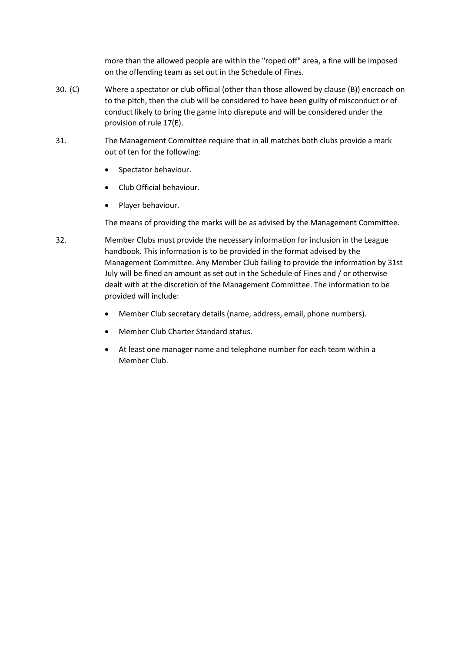more than the allowed people are within the "roped off" area, a fine will be imposed on the offending team as set out in the Schedule of Fines.

- 30. (C) Where a spectator or club official (other than those allowed by clause (B)) encroach on to the pitch, then the club will be considered to have been guilty of misconduct or of conduct likely to bring the game into disrepute and will be considered under the provision of rule 17(E).
- 31. The Management Committee require that in all matches both clubs provide a mark out of ten for the following:
	- Spectator behaviour.
	- Club Official behaviour.
	- Player behaviour.

The means of providing the marks will be as advised by the Management Committee.

- 32. Member Clubs must provide the necessary information for inclusion in the League handbook. This information is to be provided in the format advised by the Management Committee. Any Member Club failing to provide the information by 31st July will be fined an amount as set out in the Schedule of Fines and / or otherwise dealt with at the discretion of the Management Committee. The information to be provided will include:
	- Member Club secretary details (name, address, email, phone numbers).
	- Member Club Charter Standard status.
	- At least one manager name and telephone number for each team within a Member Club.